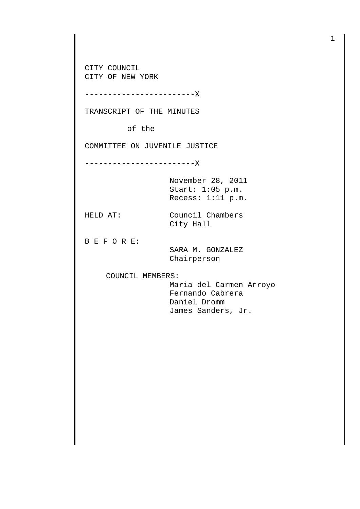CITY COUNCIL CITY OF NEW YORK

------------------------X

TRANSCRIPT OF THE MINUTES

of the

COMMITTEE ON JUVENILE JUSTICE

------------------------X

November 28, 2011 Start: 1:05 p.m. Recess: 1:11 p.m.

HELD AT: Council Chambers City Hall

B E F O R E:

 SARA M. GONZALEZ Chairperson

COUNCIL MEMBERS:

 Maria del Carmen Arroyo Fernando Cabrera Daniel Dromm James Sanders, Jr.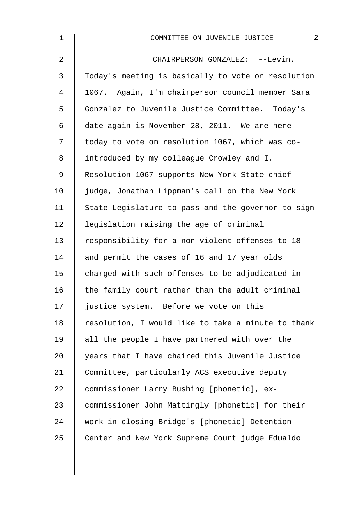| $\mathbf 1$    | $\overline{2}$<br>COMMITTEE ON JUVENILE JUSTICE    |
|----------------|----------------------------------------------------|
| $\overline{a}$ | CHAIRPERSON GONZALEZ: --Levin.                     |
| 3              | Today's meeting is basically to vote on resolution |
| 4              | 1067. Again, I'm chairperson council member Sara   |
| 5              | Gonzalez to Juvenile Justice Committee. Today's    |
| 6              | date again is November 28, 2011. We are here       |
| 7              | today to vote on resolution 1067, which was co-    |
| 8              | introduced by my colleague Crowley and I.          |
| 9              | Resolution 1067 supports New York State chief      |
| 10             | judge, Jonathan Lippman's call on the New York     |
| 11             | State Legislature to pass and the governor to sign |
| 12             | legislation raising the age of criminal            |
| 13             | responsibility for a non violent offenses to 18    |
| 14             | and permit the cases of 16 and 17 year olds        |
| 15             | charged with such offenses to be adjudicated in    |
| 16             | the family court rather than the adult criminal    |
| 17             | justice system. Before we vote on this             |
| 18             | resolution, I would like to take a minute to thank |
| 19             | all the people I have partnered with over the      |
| 20             | years that I have chaired this Juvenile Justice    |
| 21             | Committee, particularly ACS executive deputy       |
| 22             | commissioner Larry Bushing [phonetic], ex-         |
| 23             | commissioner John Mattingly [phonetic] for their   |
| 24             | work in closing Bridge's [phonetic] Detention      |
| 25             | Center and New York Supreme Court judge Edualdo    |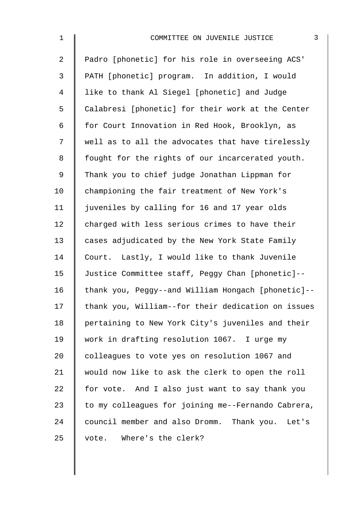| $\mathbf 1$    | 3<br>COMMITTEE ON JUVENILE JUSTICE                 |
|----------------|----------------------------------------------------|
| $\overline{2}$ | Padro [phonetic] for his role in overseeing ACS'   |
| 3              | PATH [phonetic] program. In addition, I would      |
| 4              | like to thank Al Siegel [phonetic] and Judge       |
| 5              | Calabresi [phonetic] for their work at the Center  |
| 6              | for Court Innovation in Red Hook, Brooklyn, as     |
| 7              | well as to all the advocates that have tirelessly  |
| 8              | fought for the rights of our incarcerated youth.   |
| 9              | Thank you to chief judge Jonathan Lippman for      |
| 10             | championing the fair treatment of New York's       |
| 11             | juveniles by calling for 16 and 17 year olds       |
| 12             | charged with less serious crimes to have their     |
| 13             | cases adjudicated by the New York State Family     |
| 14             | Court. Lastly, I would like to thank Juvenile      |
| 15             | Justice Committee staff, Peggy Chan [phonetic]--   |
| 16             | thank you, Peggy--and William Hongach [phonetic]-- |
| 17             | thank you, William--for their dedication on issues |
| 18             | pertaining to New York City's juveniles and their  |
| 19             | work in drafting resolution 1067. I urge my        |
| 20             | colleagues to vote yes on resolution 1067 and      |
| 21             | would now like to ask the clerk to open the roll   |
| 22             | for vote. And I also just want to say thank you    |
| 23             | to my colleagues for joining me--Fernando Cabrera, |
| 24             | council member and also Dromm. Thank you. Let's    |
| 25             | Where's the clerk?<br>vote.                        |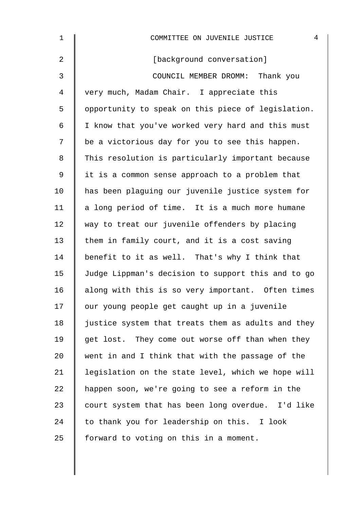| 1              | 4<br>COMMITTEE ON JUVENILE JUSTICE                 |
|----------------|----------------------------------------------------|
| $\overline{2}$ | [background conversation]                          |
| 3              | COUNCIL MEMBER DROMM: Thank you                    |
| 4              | very much, Madam Chair. I appreciate this          |
| 5              | opportunity to speak on this piece of legislation. |
| 6              | I know that you've worked very hard and this must  |
| 7              | be a victorious day for you to see this happen.    |
| 8              | This resolution is particularly important because  |
| $\mathsf 9$    | it is a common sense approach to a problem that    |
| 10             | has been plaguing our juvenile justice system for  |
| 11             | a long period of time. It is a much more humane    |
| 12             | way to treat our juvenile offenders by placing     |
| 13             | them in family court, and it is a cost saving      |
| 14             | benefit to it as well. That's why I think that     |
| 15             | Judge Lippman's decision to support this and to go |
| 16             | along with this is so very important. Often times  |
| 17             | our young people get caught up in a juvenile       |
| 18             | justice system that treats them as adults and they |
| 19             | get lost. They come out worse off than when they   |
| 20             | went in and I think that with the passage of the   |
| 21             | legislation on the state level, which we hope will |
| 22             | happen soon, we're going to see a reform in the    |
| 23             | court system that has been long overdue. I'd like  |
| 24             | to thank you for leadership on this. I look        |
| 25             | forward to voting on this in a moment.             |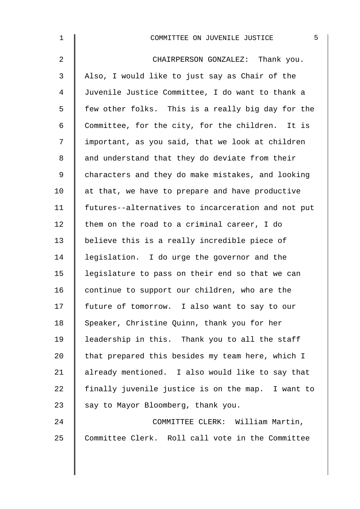| 5<br>COMMITTEE ON JUVENILE JUSTICE                 |
|----------------------------------------------------|
| CHAIRPERSON GONZALEZ: Thank you.                   |
| Also, I would like to just say as Chair of the     |
| Juvenile Justice Committee, I do want to thank a   |
| few other folks. This is a really big day for the  |
| Committee, for the city, for the children. It is   |
| important, as you said, that we look at children   |
| and understand that they do deviate from their     |
| characters and they do make mistakes, and looking  |
| at that, we have to prepare and have productive    |
| futures--alternatives to incarceration and not put |
| them on the road to a criminal career, I do        |
| believe this is a really incredible piece of       |
| legislation. I do urge the governor and the        |
| legislature to pass on their end so that we can    |
| continue to support our children, who are the      |
| future of tomorrow. I also want to say to our      |
| Speaker, Christine Quinn, thank you for her        |
| leadership in this. Thank you to all the staff     |
| that prepared this besides my team here, which I   |
| already mentioned. I also would like to say that   |
| finally juvenile justice is on the map. I want to  |
| say to Mayor Bloomberg, thank you.                 |
| COMMITTEE CLERK: William Martin,                   |
| Committee Clerk. Roll call vote in the Committee   |
|                                                    |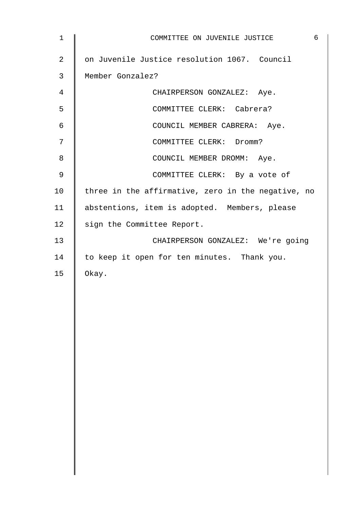| $\mathbf{1}$   | 6<br>COMMITTEE ON JUVENILE JUSTICE                 |
|----------------|----------------------------------------------------|
| $\overline{2}$ | on Juvenile Justice resolution 1067. Council       |
| 3              | Member Gonzalez?                                   |
| 4              | CHAIRPERSON GONZALEZ: Aye.                         |
| 5              | COMMITTEE CLERK: Cabrera?                          |
| 6              | COUNCIL MEMBER CABRERA: Aye.                       |
| 7              | COMMITTEE CLERK: Dromm?                            |
| 8              | COUNCIL MEMBER DROMM: Aye.                         |
| 9              | COMMITTEE CLERK: By a vote of                      |
| 10             | three in the affirmative, zero in the negative, no |
| 11             | abstentions, item is adopted. Members, please      |
| 12             | sign the Committee Report.                         |
| 13             | CHAIRPERSON GONZALEZ: We're going                  |
| 14             | to keep it open for ten minutes. Thank you.        |
| 15             | Okay.                                              |
|                |                                                    |
|                |                                                    |
|                |                                                    |
|                |                                                    |
|                |                                                    |
|                |                                                    |
|                |                                                    |
|                |                                                    |
|                |                                                    |
|                |                                                    |
|                |                                                    |
|                |                                                    |